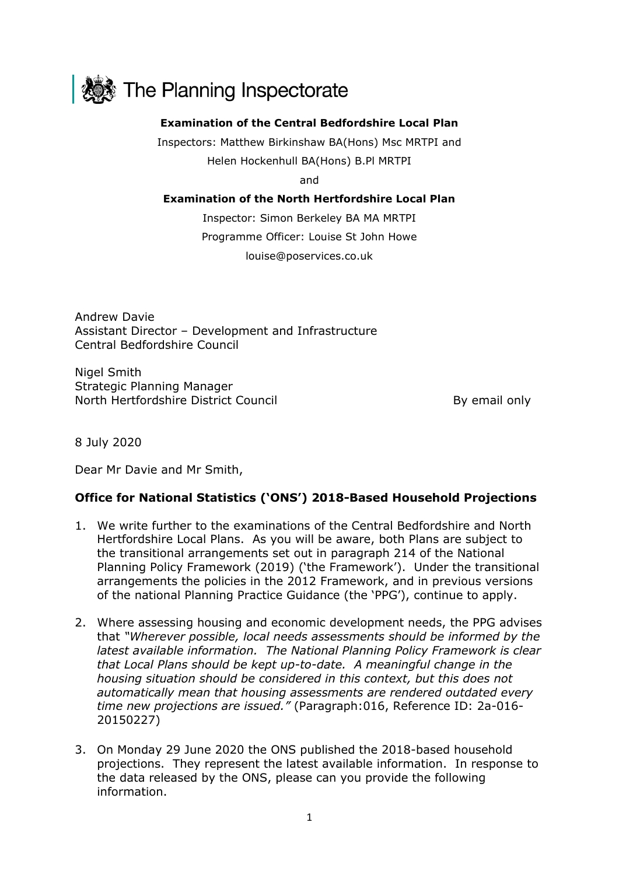

## **Examination of the Central Bedfordshire Local Plan**

Inspectors: Matthew Birkinshaw BA(Hons) Msc MRTPI and Helen Hockenhull BA(Hons) B.Pl MRTPI

and

## **Examination of the North Hertfordshire Local Plan**

Inspector: Simon Berkeley BA MA MRTPI Programme Officer: Louise St John Howe louise@poservices.co.uk

Andrew Davie Assistant Director – Development and Infrastructure Central Bedfordshire Council

Nigel Smith Strategic Planning Manager North Hertfordshire District Council and By email only

8 July 2020

Dear Mr Davie and Mr Smith,

## **Office for National Statistics ('ONS') 2018-Based Household Projections**

- 1. We write further to the examinations of the Central Bedfordshire and North Hertfordshire Local Plans. As you will be aware, both Plans are subject to the transitional arrangements set out in paragraph 214 of the National Planning Policy Framework (2019) ('the Framework'). Under the transitional arrangements the policies in the 2012 Framework, and in previous versions of the national Planning Practice Guidance (the 'PPG'), continue to apply.
- 2. Where assessing housing and economic development needs, the PPG advises that *"Wherever possible, local needs assessments should be informed by the latest available information. The National Planning Policy Framework is clear that Local Plans should be kept up-to-date. A meaningful change in the housing situation should be considered in this context, but this does not automatically mean that housing assessments are rendered outdated every time new projections are issued."* (Paragraph:016, Reference ID: 2a-016- 20150227)
- 3. On Monday 29 June 2020 the ONS published the 2018-based household projections. They represent the latest available information. In response to the data released by the ONS, please can you provide the following information.